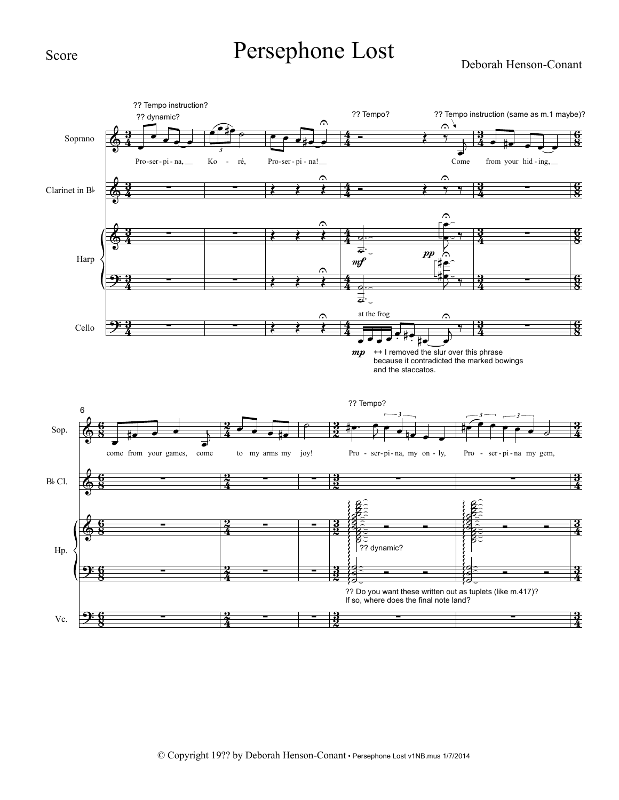### Score

# Persephone Lost

#### Deborah Henson-Conant

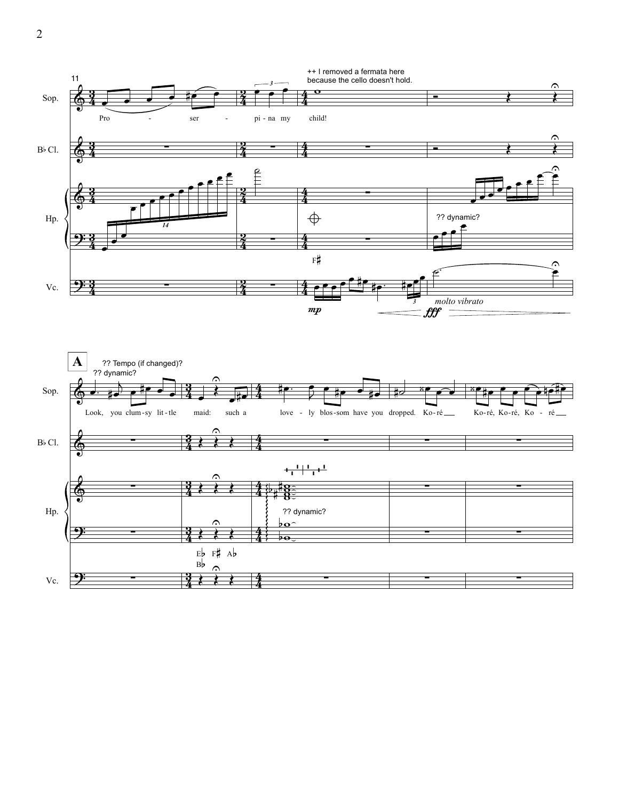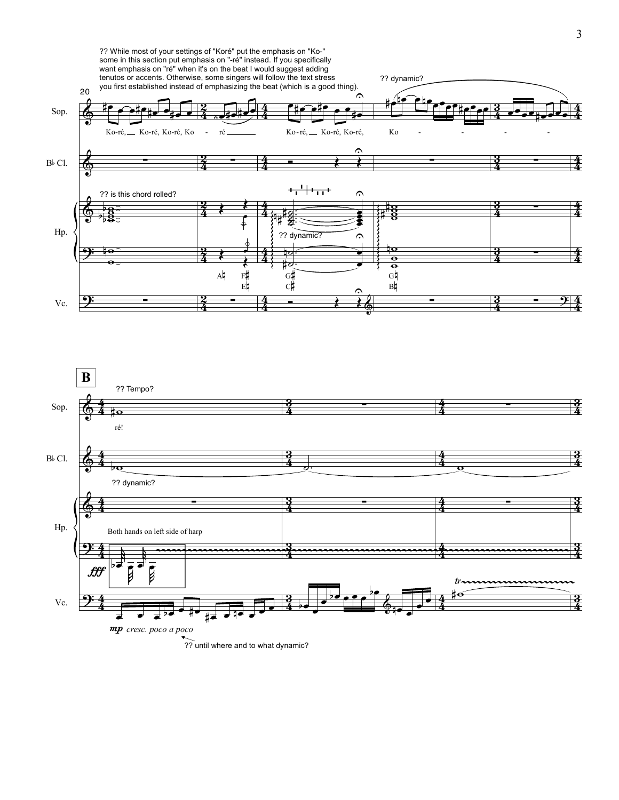

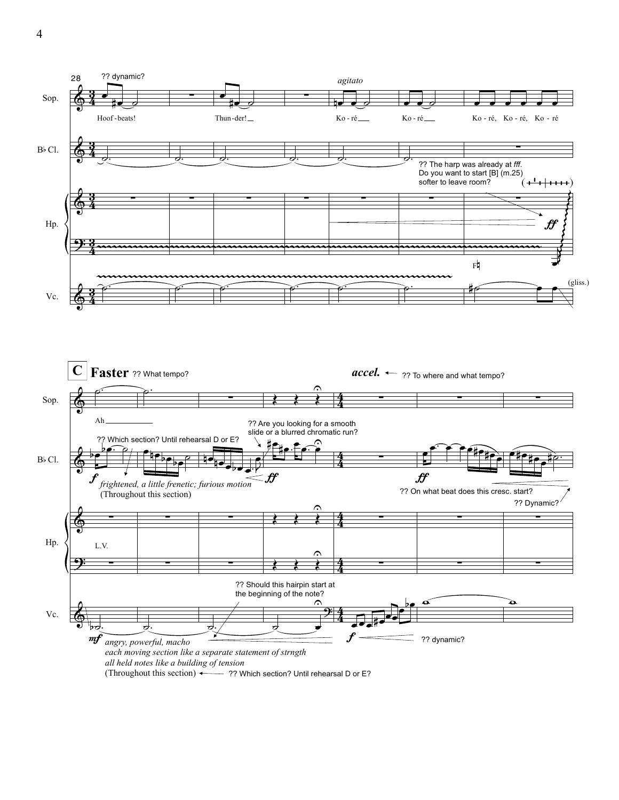

(Throughout this section)  $\longleftarrow$  ?? Which section? Until rehearsal D or E?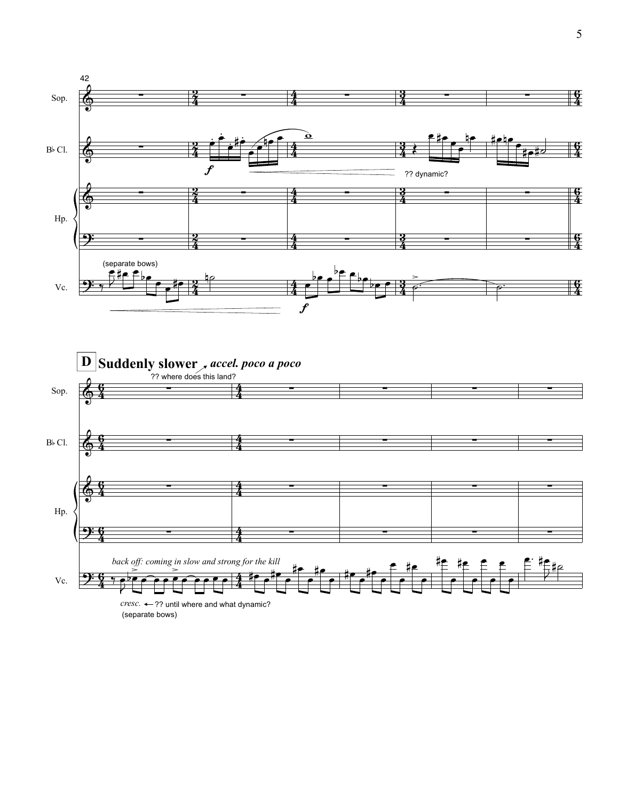



(separate bows)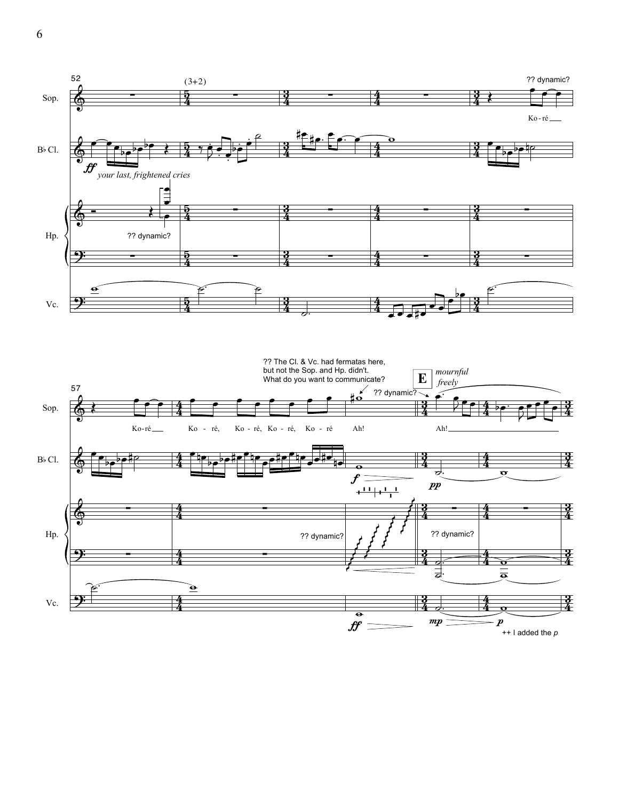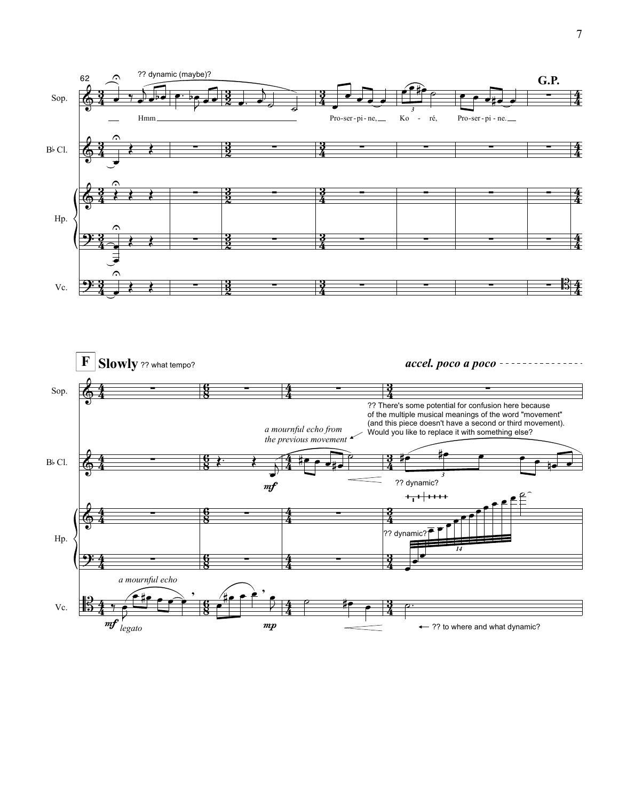

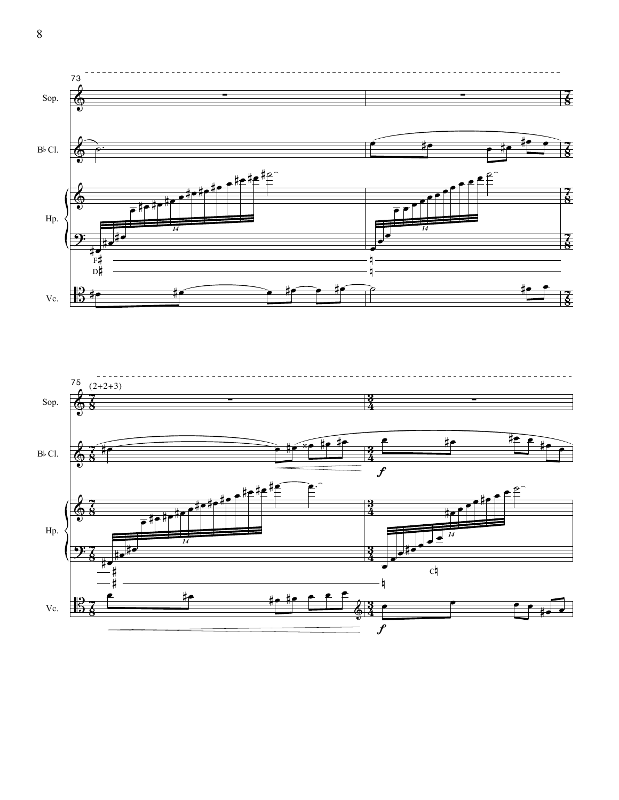

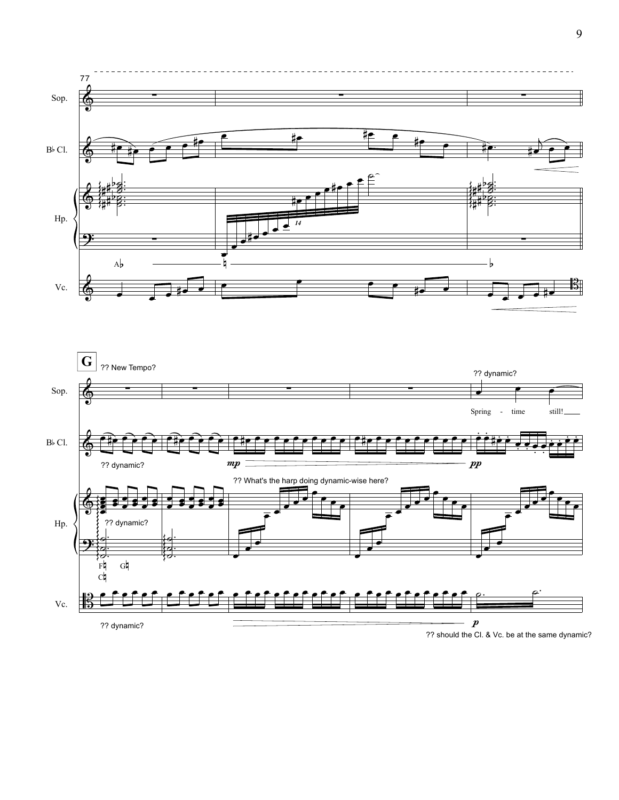

<sup>??</sup> should the Cl. & Vc. be at the same dynamic?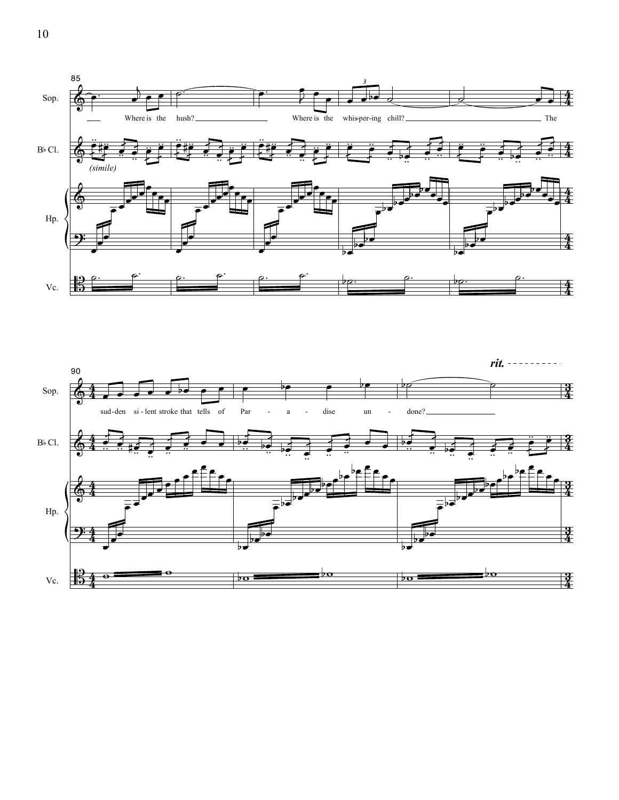

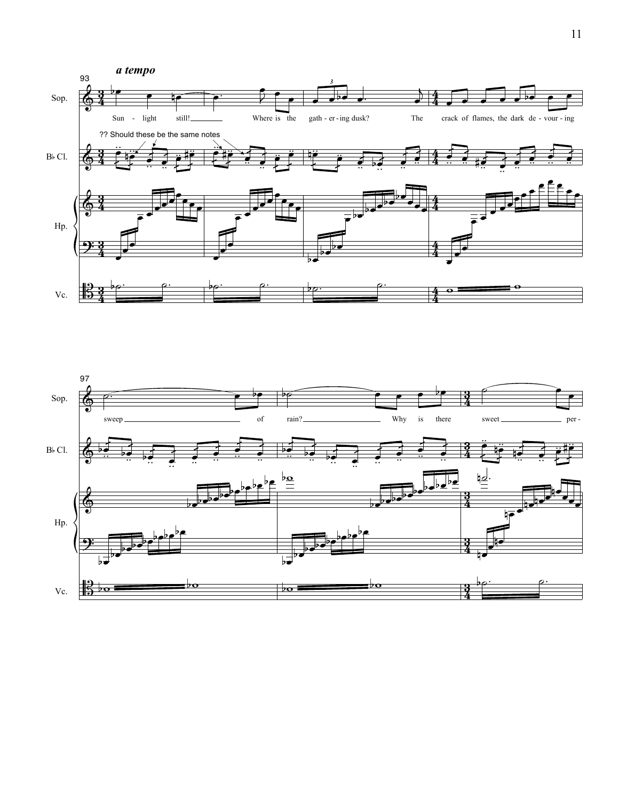

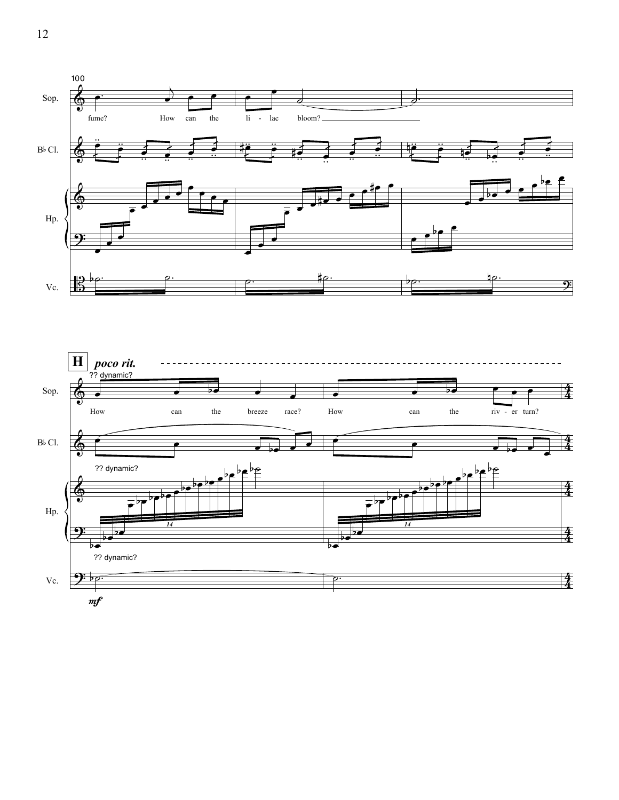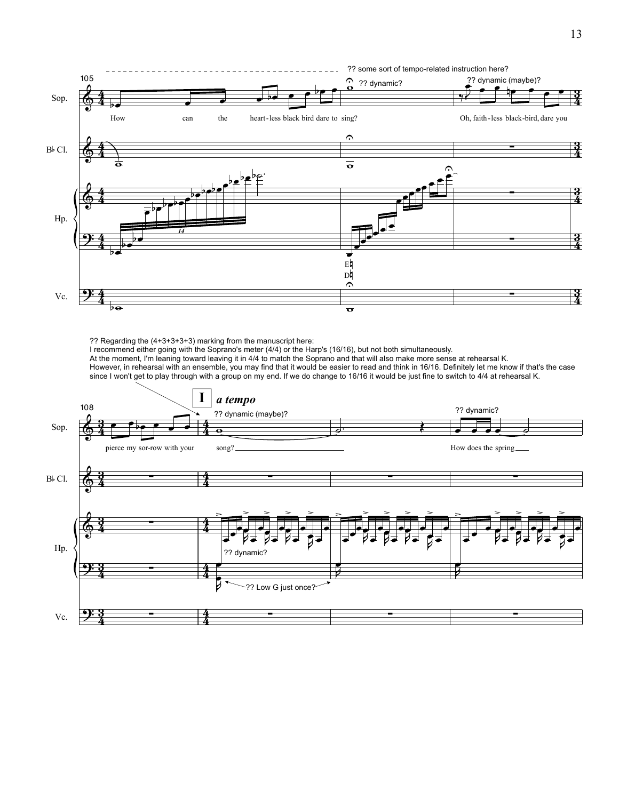

?? Regarding the (4+3+3+3+3) marking from the manuscript here:

I recommend either going with the Soprano's meter (4/4) or the Harp's (16/16), but not both simultaneously.

At the moment, I'm leaning toward leaving it in 4/4 to match the Soprano and that will also make more sense at rehearsal K. However, in rehearsal with an ensemble, you may find that it would be easier to read and think in 16/16. Definitely let me know if that's the case since I won't get to play through with a group on my end. If we do change to 16/16 it would be just fine to switch to 4/4 at rehearsal K.

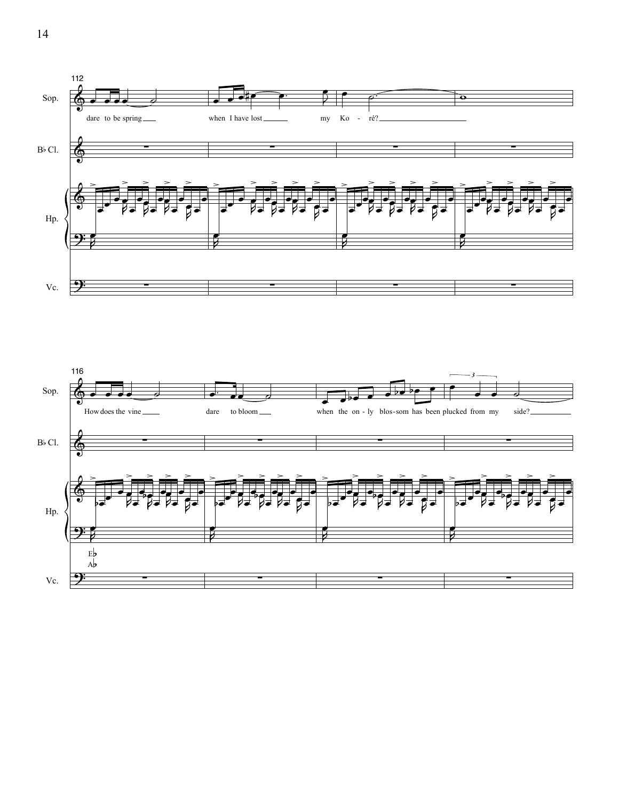

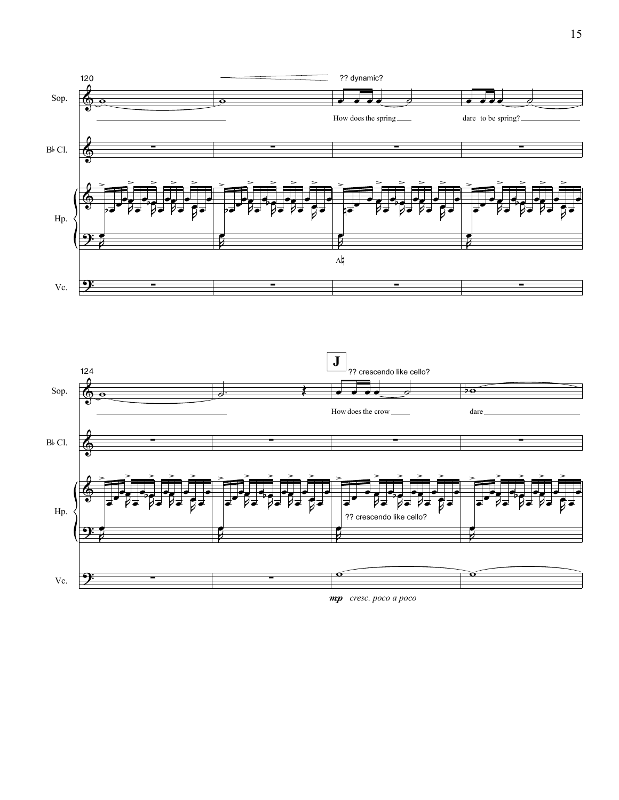



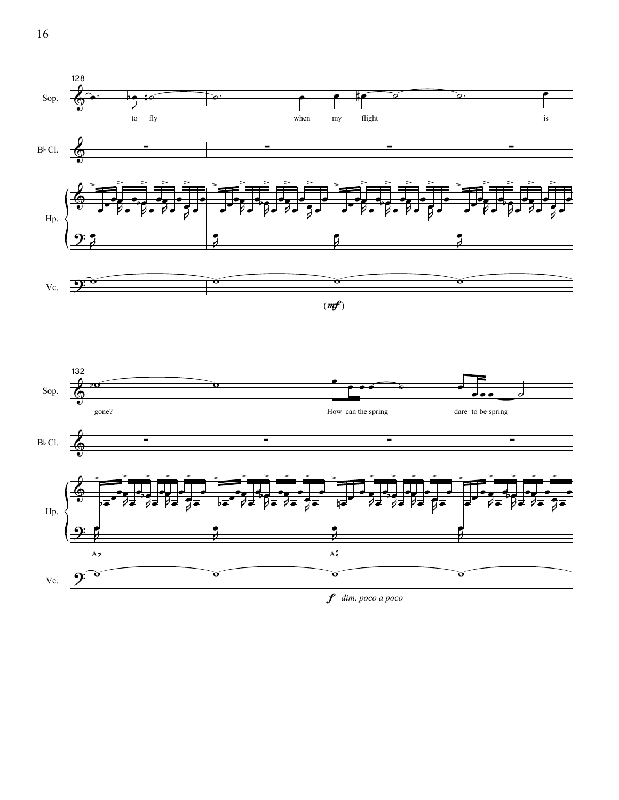

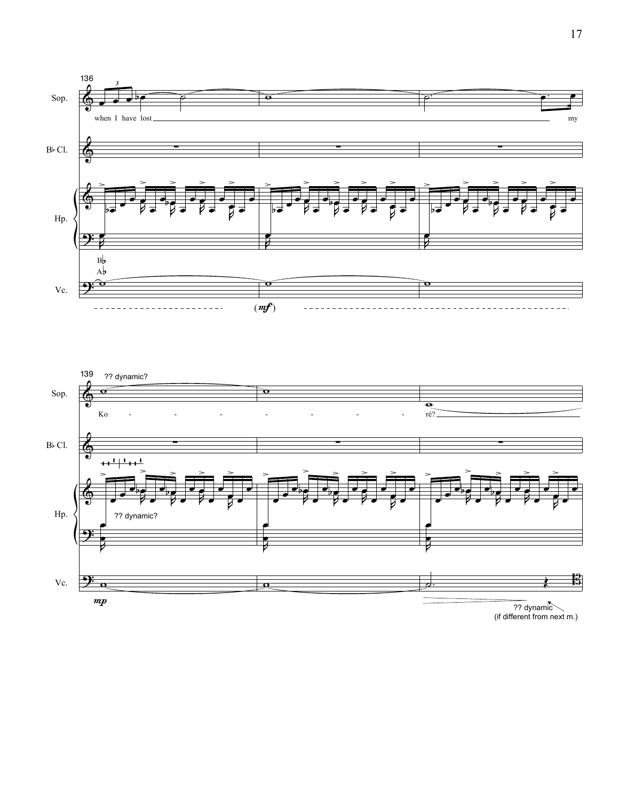



(if different from next m.)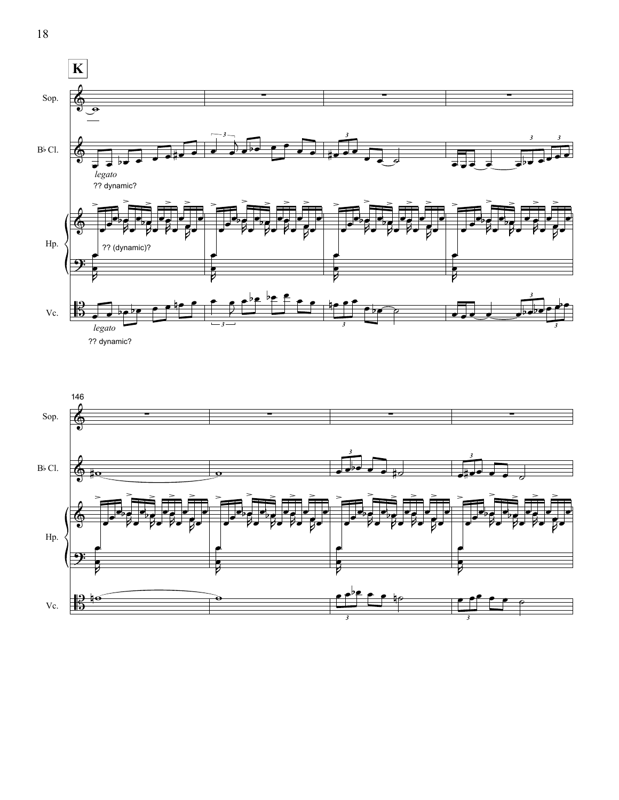

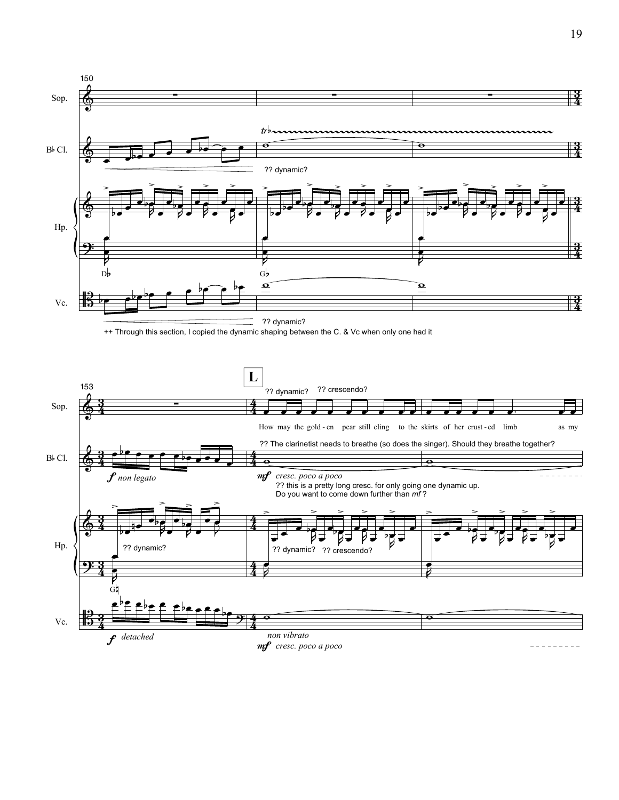

++ Through this section, I copied the dynamic shaping between the C. & Vc when only one had it

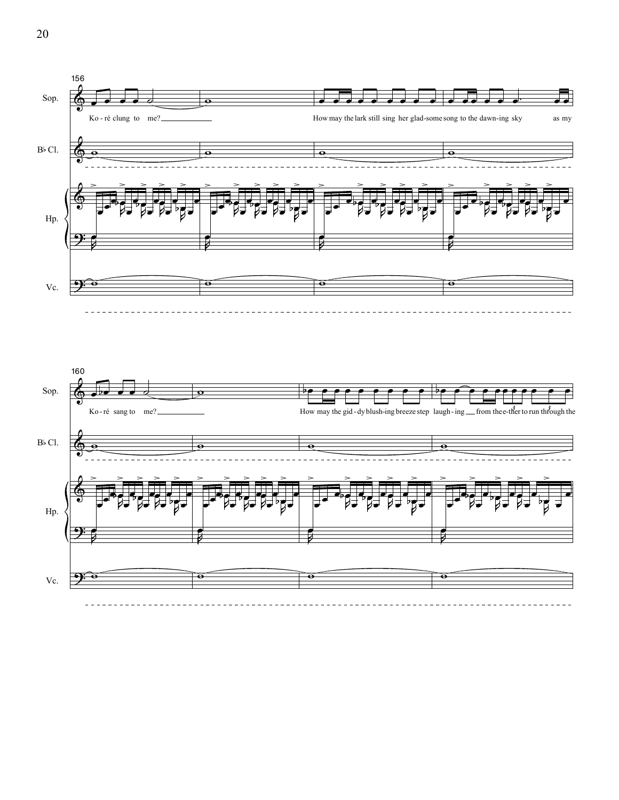

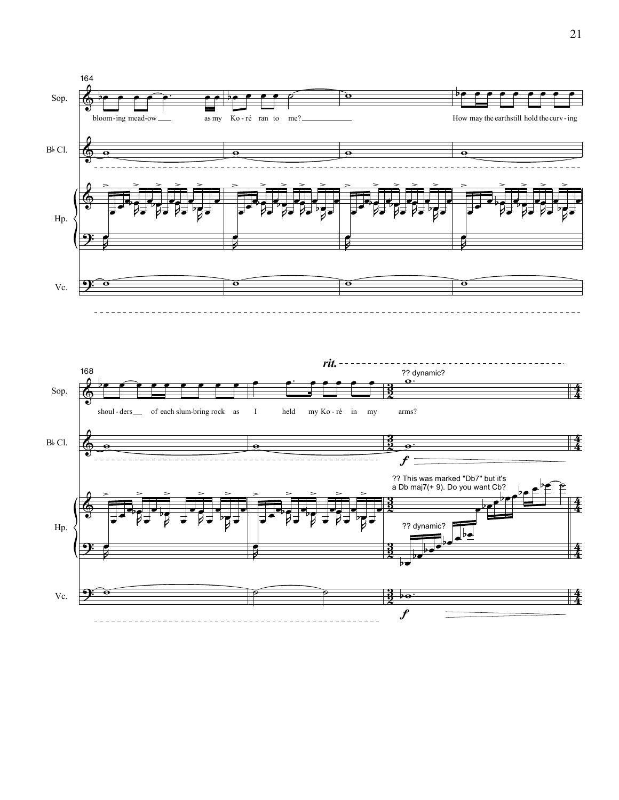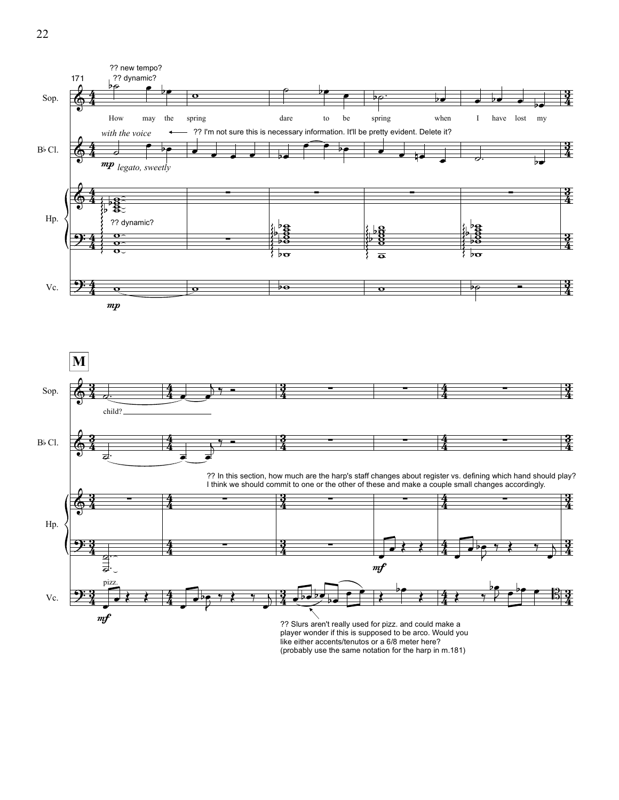



like either accents/tenutos or a 6/8 meter here? (probably use the same notation for the harp in m.181)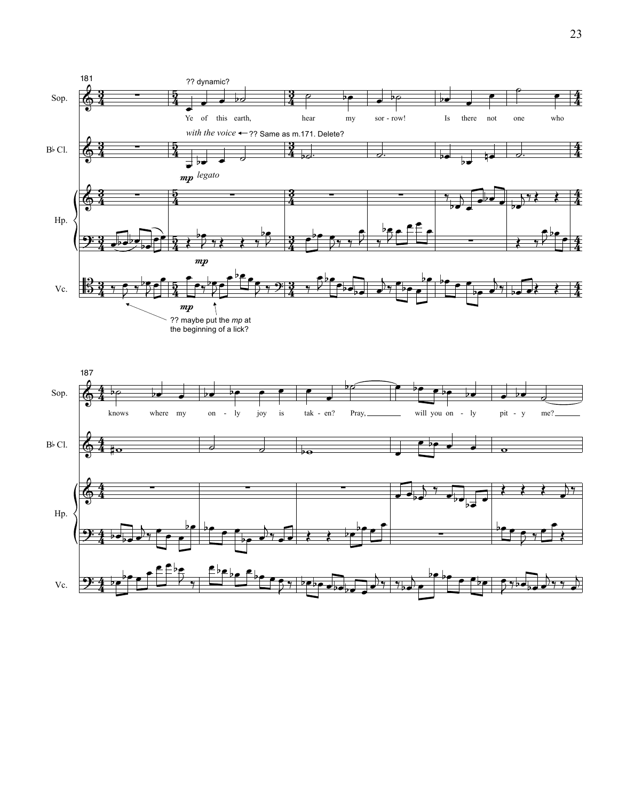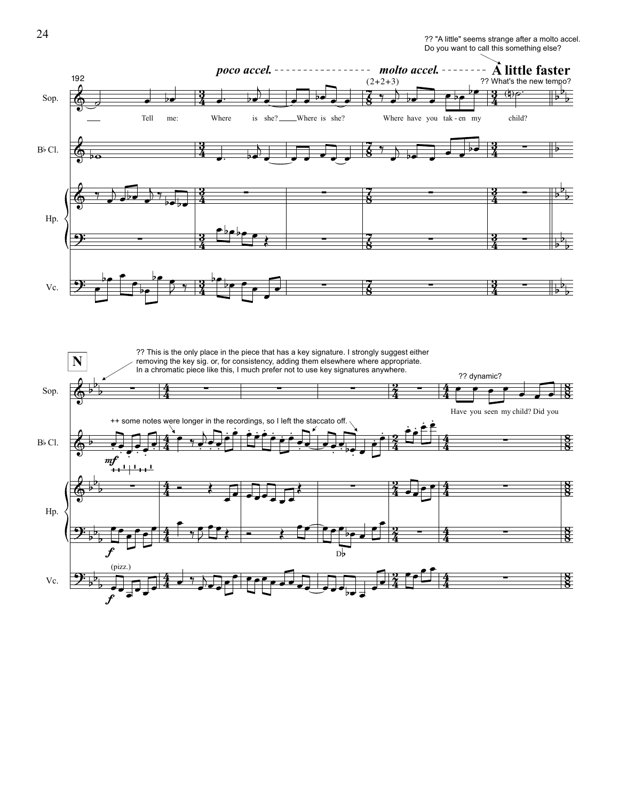?? "A little" seems strange after a molto accel. Do you want to call this something else?





f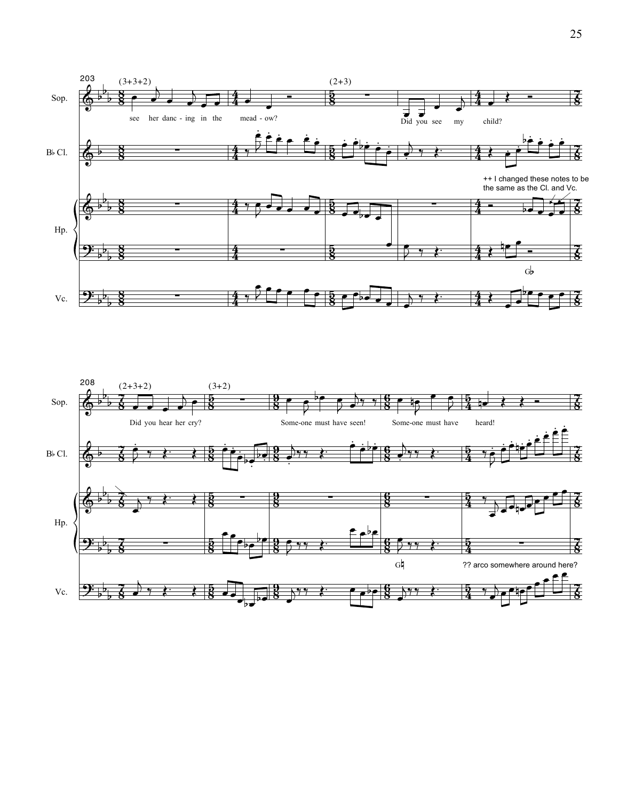

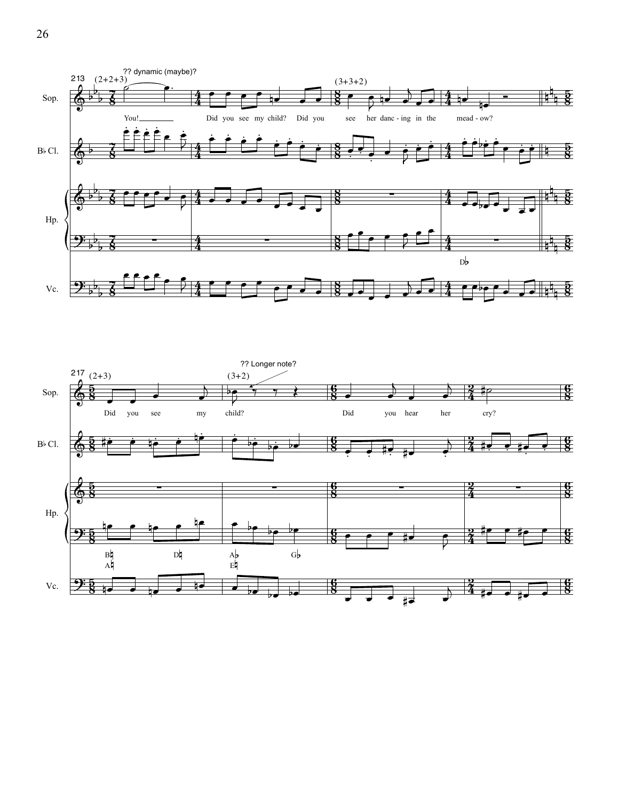

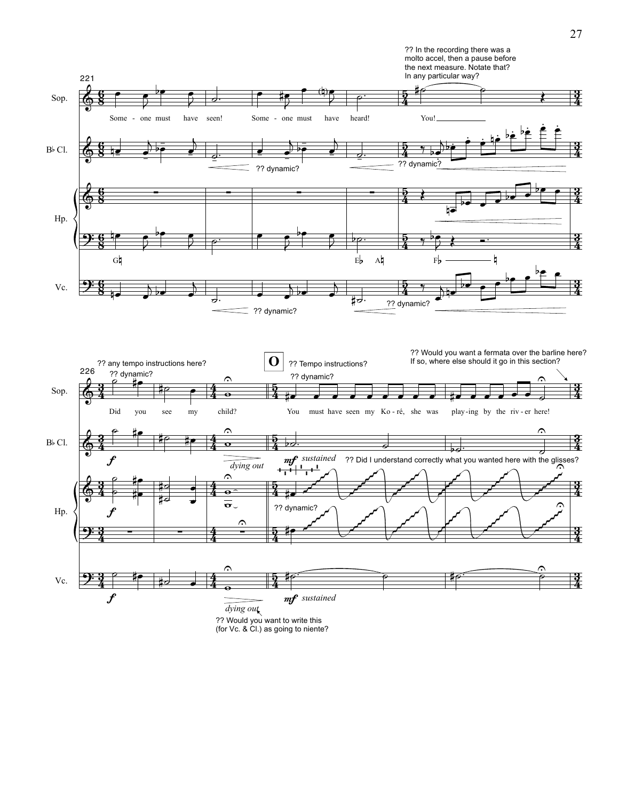$\Phi$  $\Phi$  $\Phi$ 9: <u>9:</u> 8  $\overline{6}$ 8<br>8 6 8 **g** 8<br>8 6 8<br>8  $\overline{6}$ 4 5  $\frac{9}{4}$   $\frac{9}{8}$ 5 4 5  $\frac{5}{4}$ 5 4 5 4 3 4 <u>ទ្</u> 4 3 4 3 4 3 Sop. Bb Cl. Vc. Hp. n 221 œ  $\overline{r}$ œ  $\frac{1}{2}$  $\overline{z}$ œ Some - one must have seen! Some -‡e j œ -  $\frac{1}{2}$  $\equiv$ œ - ∑ œn  $\overline{a}$ œ œb  $\overline{a}$ œ œn j œ  $\overline{p}$ j œ  $G \natural$  $\frac{1}{2}$ seen! ˙. - ∑  $\overline{\cdot}$ ˙. œ  $\overline{r}$ œ# œ  $\overline{ }$  $\overline{\Phi}$ Some - one must have œ j œ  $\frac{2}{\pi}$  dynamic?  $\frac{1}{2}$  $\Rightarrow$ œ - ∑ œ J œ œb  $\overline{ }$ œ œ  $\overline{\mathbf{y}}$ œ  $\overline{b}$  $\overline{b}$ œ ?? dynamic? ˙. heard! ˙. - ∑  $\circ \rho$  . <u>‡</u>ठ.  $E_{\mathbf{p}}$  $\mathbf{A}$  $\overline{\phantom{a}}$ Œ You! molto accel, then a pause before the next measure. Notate that? In any particular way? ‰ j .  $\frac{1}{2}$ . œ . œ <u>. مها .</u> <u>. bė</u> . œb .<br>. . . œ . ?? dynamic? Œ œn œb œ œ  $\overline{\phantom{a}}$ œb œ ‰ J  $\overline{\mathbb{P}}$ Œ Ó.  $\overline{y}$ œ œn  $\overline{\phantom{a}}$ œ  $\overline{\ }$  $e$  e ?? dynamic? Fb  $\Phi$  $\Phi$  $\Phi$ <u>9:</u> 9: 4 <u>ទ្</u> 4 <u>ទ្</u> 4 <u>ទូ</u>  $\frac{3}{4}$ <u>ទ្</u>  $\frac{3}{4}$ <u>ភ្</u> 4 4 4 4 4 4 4 4 4 4 4 5 4 5 4 5  $\frac{9}{4}$ 5 4 5 4 3 4 3 4 3  $\frac{2}{4}$ <u>អ្</u> 4 3 Sop. Bb Cl. Vc. Hp. ~~~~~~ ~~~~~~~ ~~~~~~ ~~~~~~ ~~~~~~ ~~~~~~~ ~~~~~~ ~~~~~~~ ~~~~~~ ~~~<br>—— سم<br><u>—</u> سم<br><u>\_\_\_\_\_\_\_\_\_</u>\_\_\_\_\_ 226 ?? dynamic?<br>← # Did you ?? any tempo instructions here? <u>。</u>  $\overline{c}$ ˙ œ œ# # ∑ 。<br>——ip  $\boldsymbol{f}$ f f ˙# œ see my ˙# œ#  $\overline{\phantom{a}}$ ˙# #0 e œ ∑ ˙# œ  $\overline{\bullet}$  $\hat{\mathbf{C}}$ child?  $\overline{\mathbf{o}}$  $\hat{z}$ w  $\overline{\overline{\sigma}}$ .  $\Omega$ i ∑  $\triangleq$  $\overline{\bullet}$  $\triangle$ ?? Would you want to write this *dying out dying out* œ# œ œ œ œ œ œ œ œ You must have seen my Ko-ré, she was ?? dynamic? ?? Tempo instructions?  $\overline{b}$  .  $\overline{b}$  .  $\overline{b}$ œ# d
and a beat of the set of the set of the glisses?<br>The I understand correctly what you wanted here with the glisses? ?? dynamic? œ#  $\overline{\phantom{a}}$ F *sustained*  $m f$ *sustained* **O** <sup>+</sup>⊤'††∸  $\#$   $\bullet$   $\bullet$   $\bullet$   $\bullet$   $\bullet$   $\circ$  $\hat{\mathbf{C}}$ - ré, she was play-ing by the riv - er here! ?? Would you want a fermata over the barline here? If so, where else should it go in this section?  $\triangle$  $\frac{1}{\sqrt{2}}$  $\frac{1}{2}$ آد  $\epsilon$ 

?? In the recording there was a

<sup>(</sup>for Vc. & Cl.) as going to niente?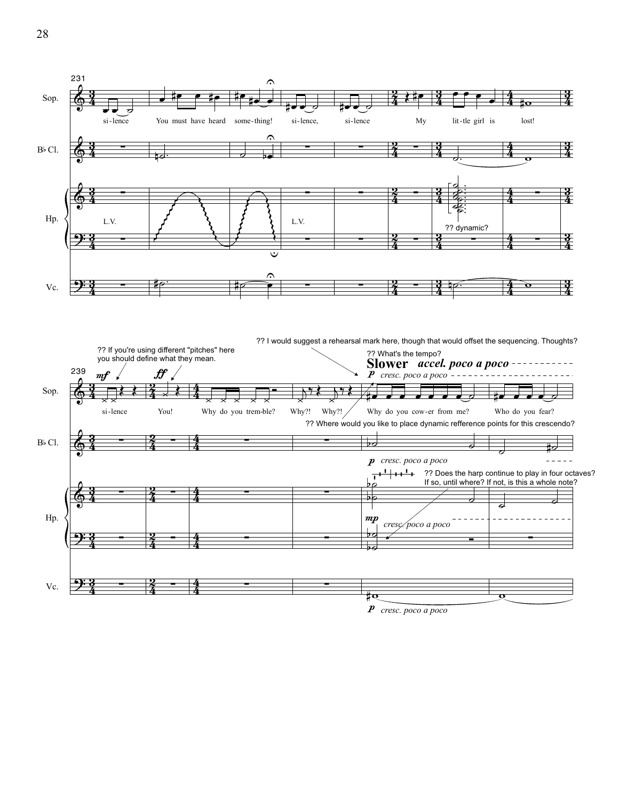

p *cresc. poco a poco*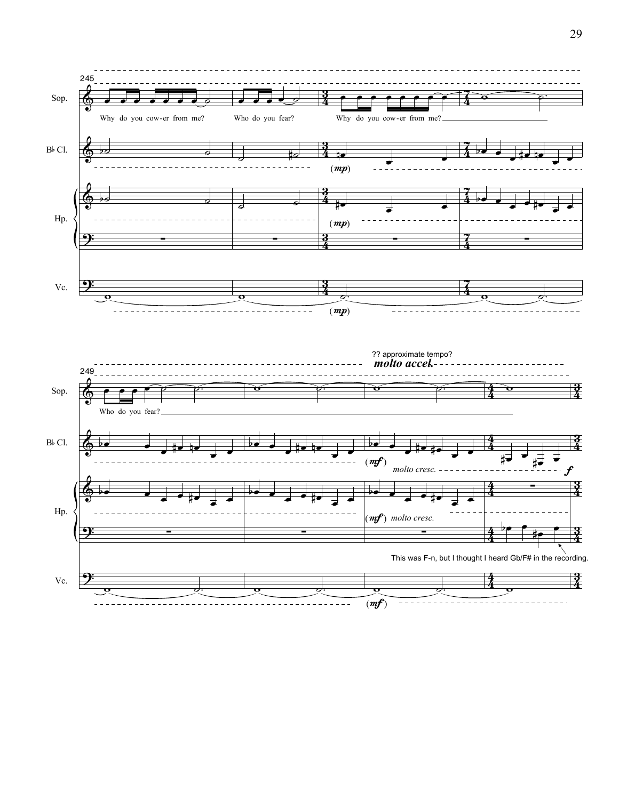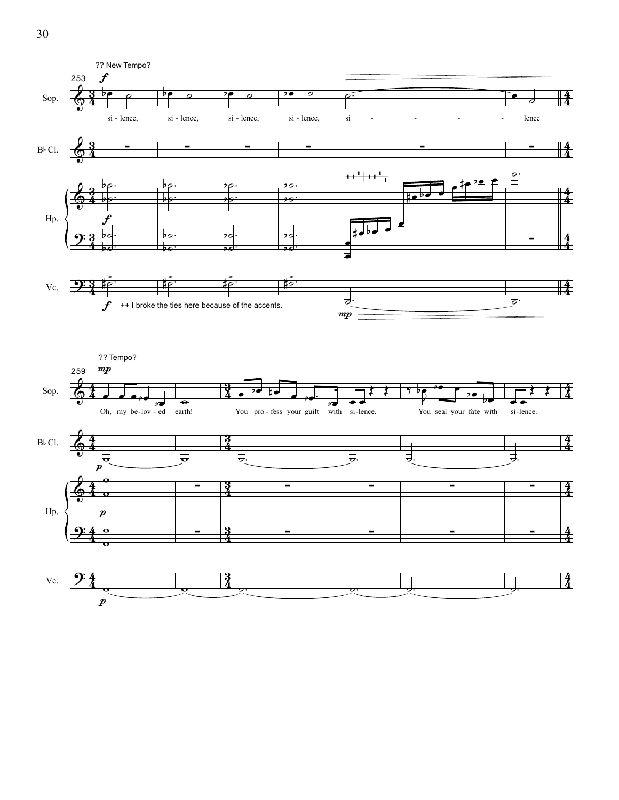

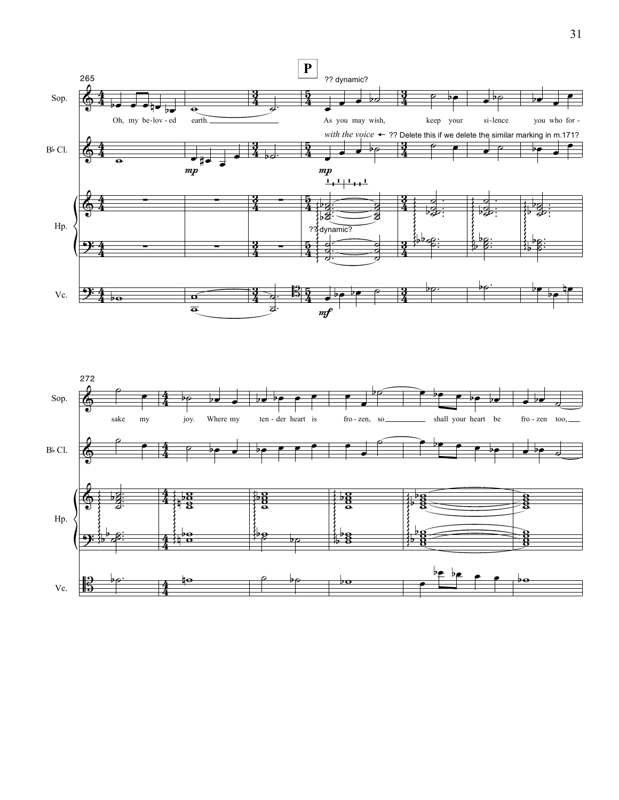

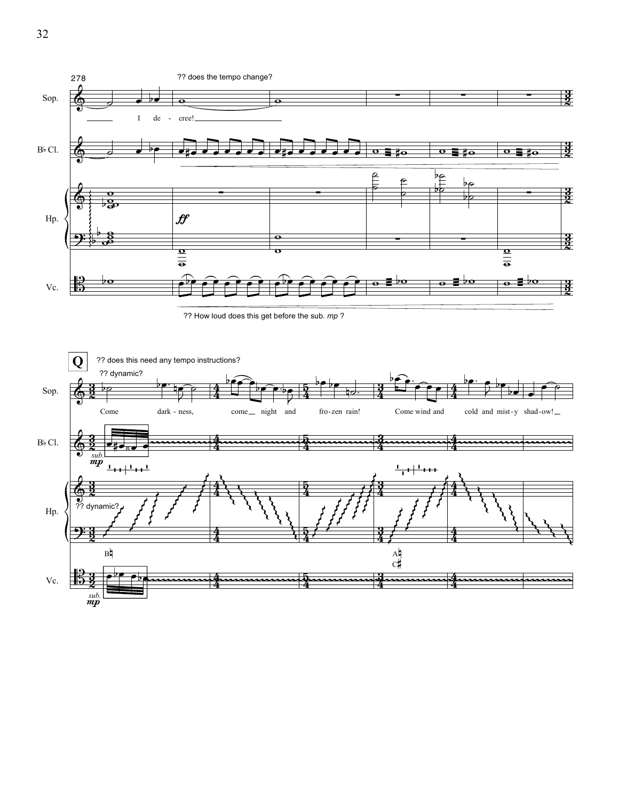

?? How loud does this get before the sub. *mp* ?

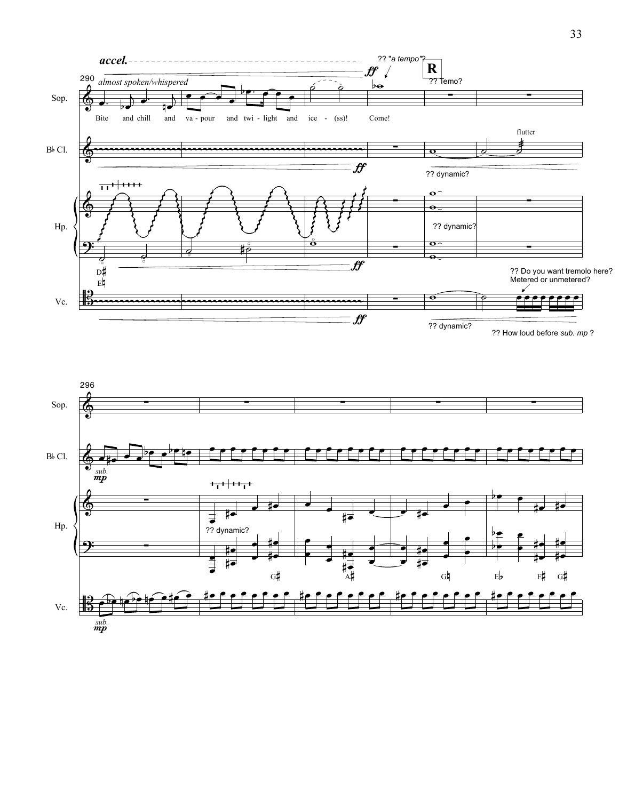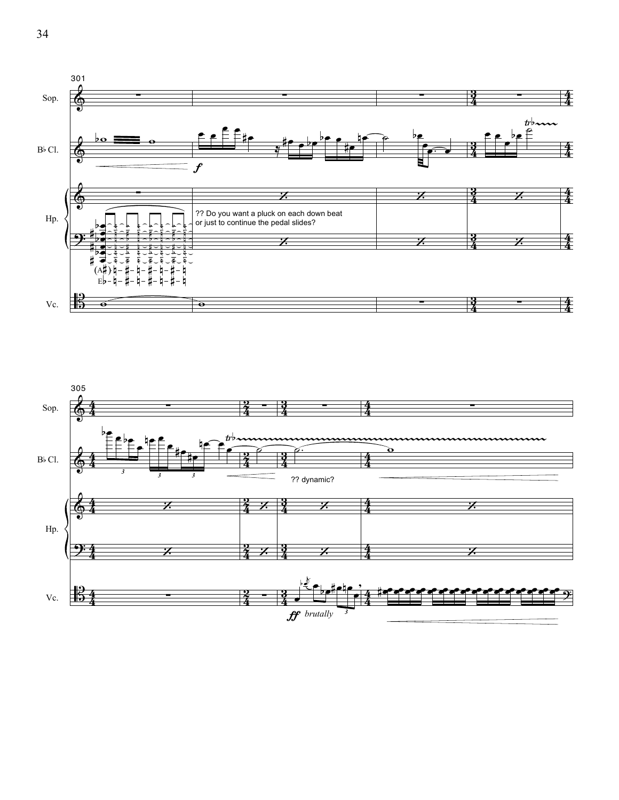

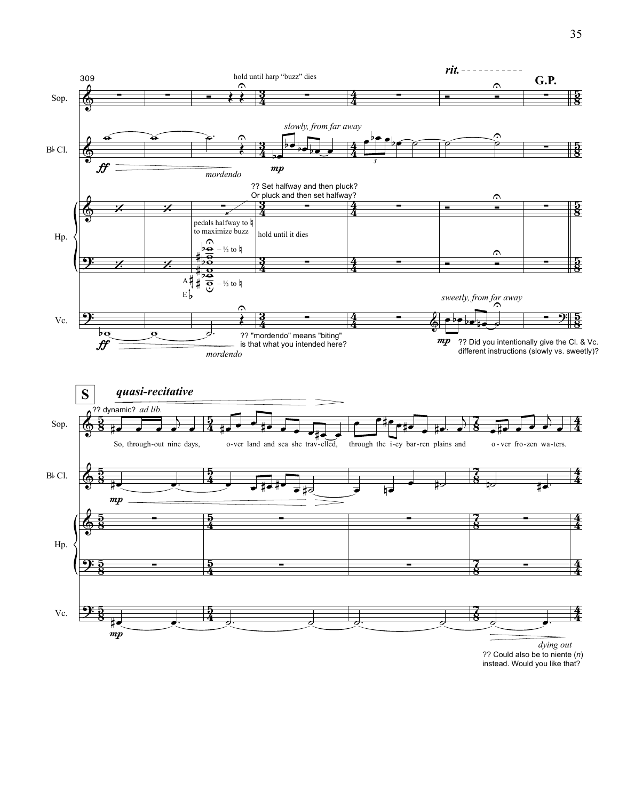

<sup>??</sup> Could also be to niente (*n*) instead. Would you like that?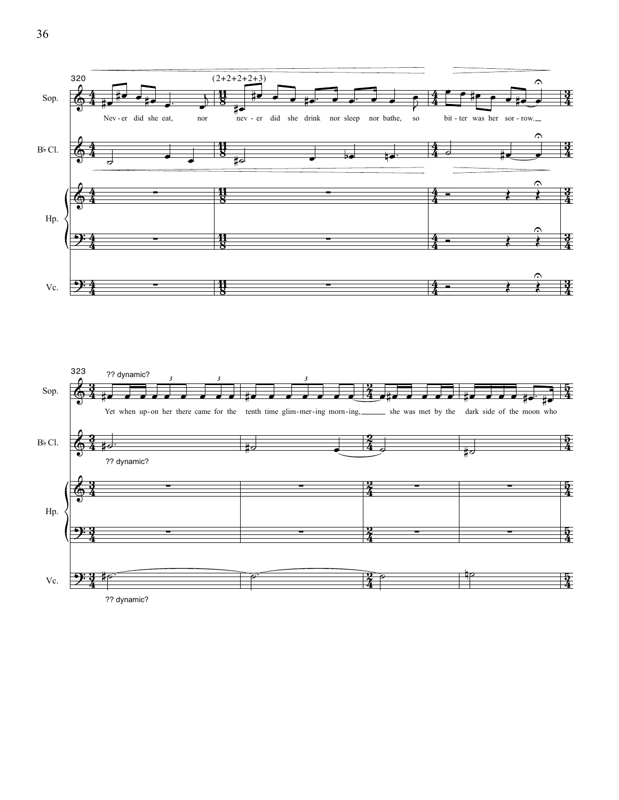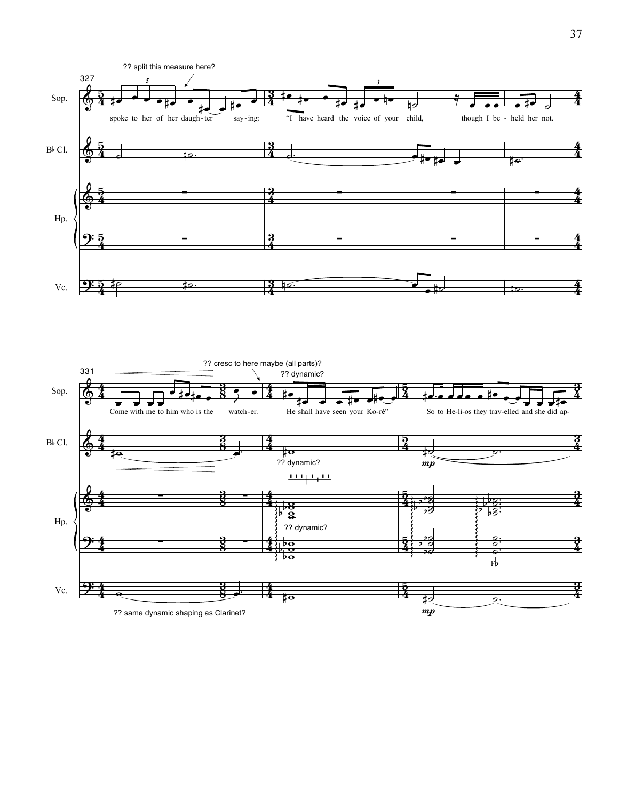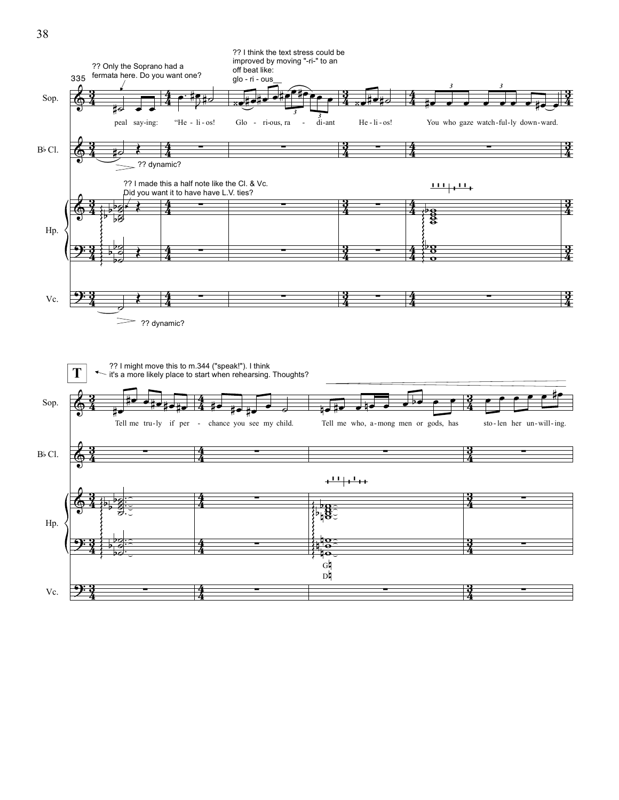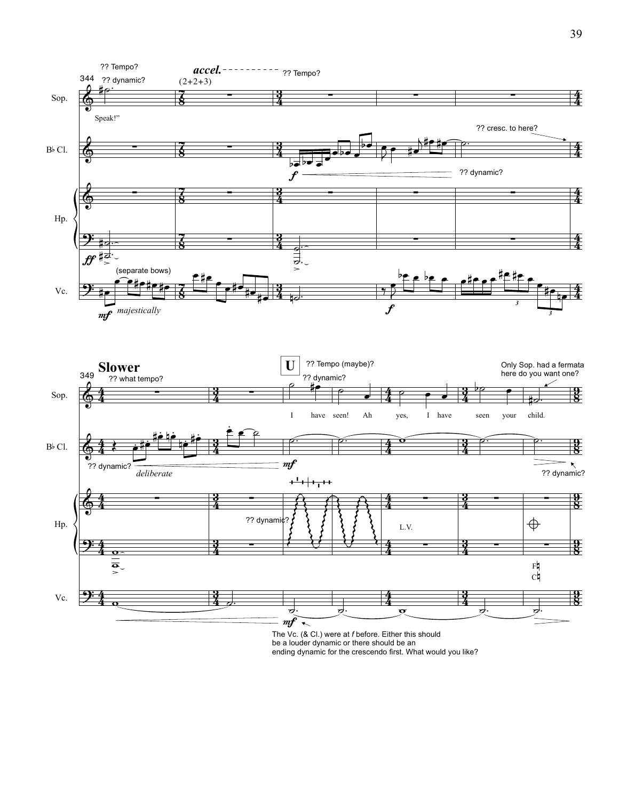

be a louder dynamic or there should be an

ending dynamic for the crescendo first. What would you like?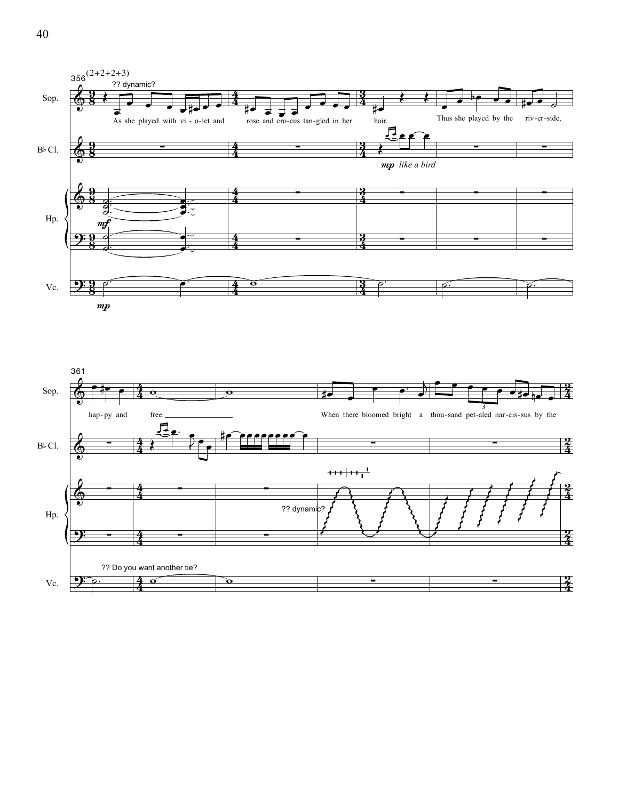

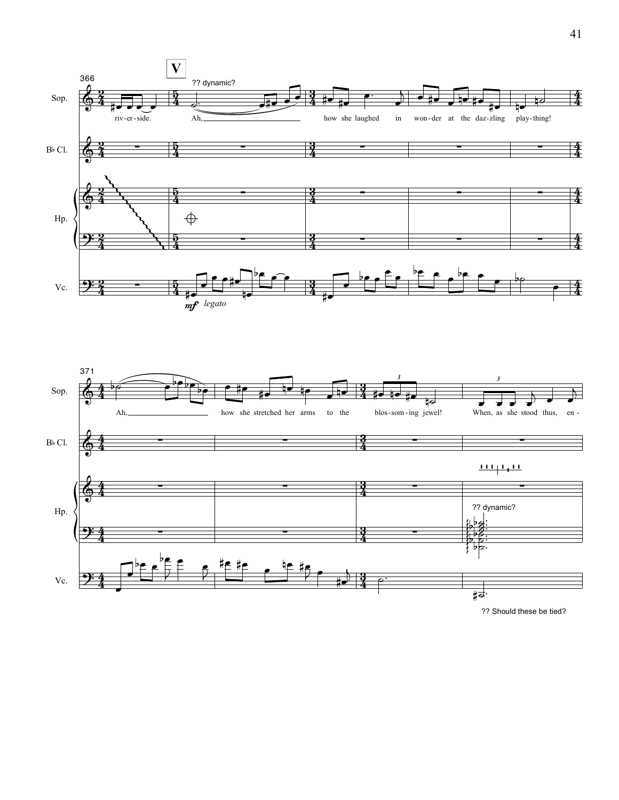



?? Should these be tied?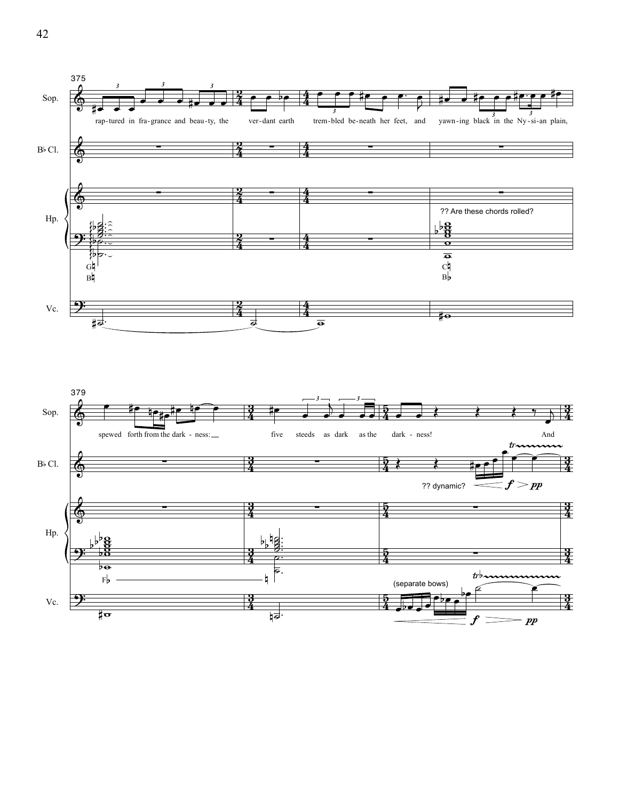

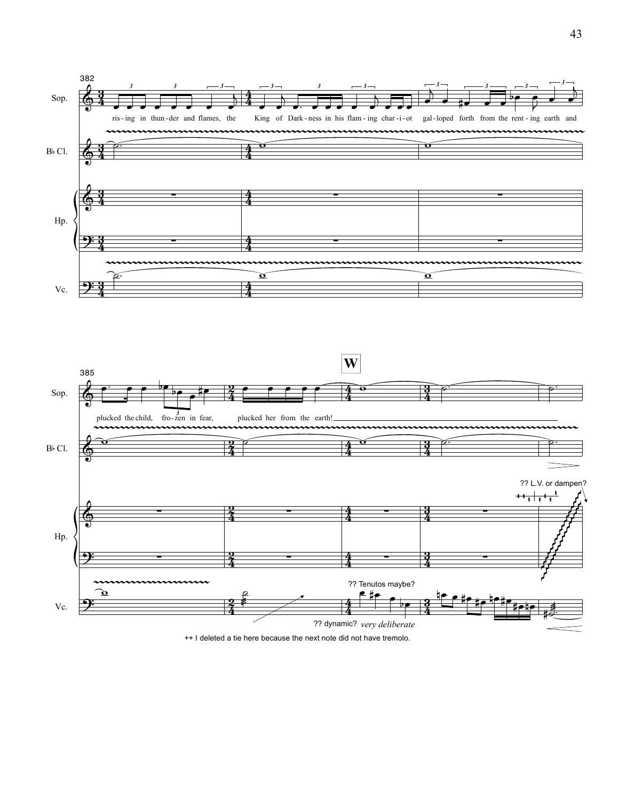

++ I deleted a tie here because the next note did not have tremolo.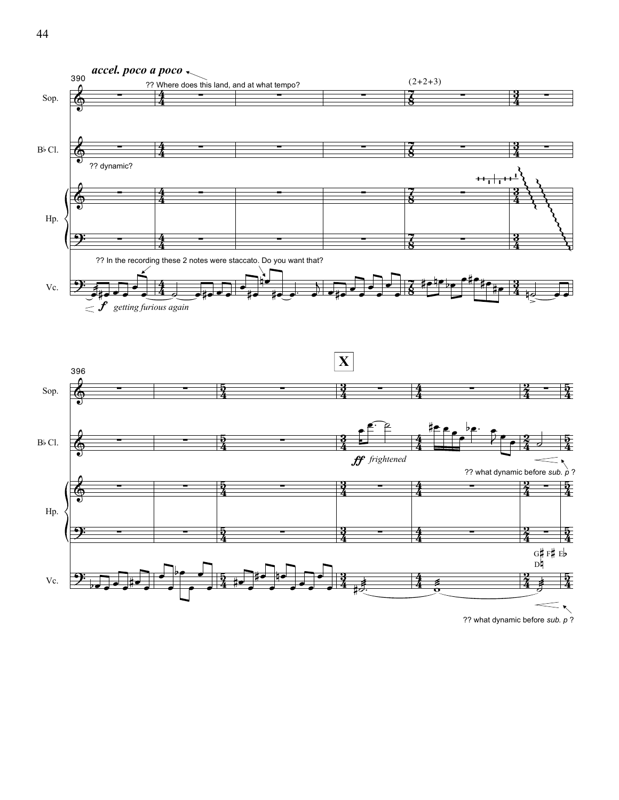

?? what dynamic before *sub. p* ?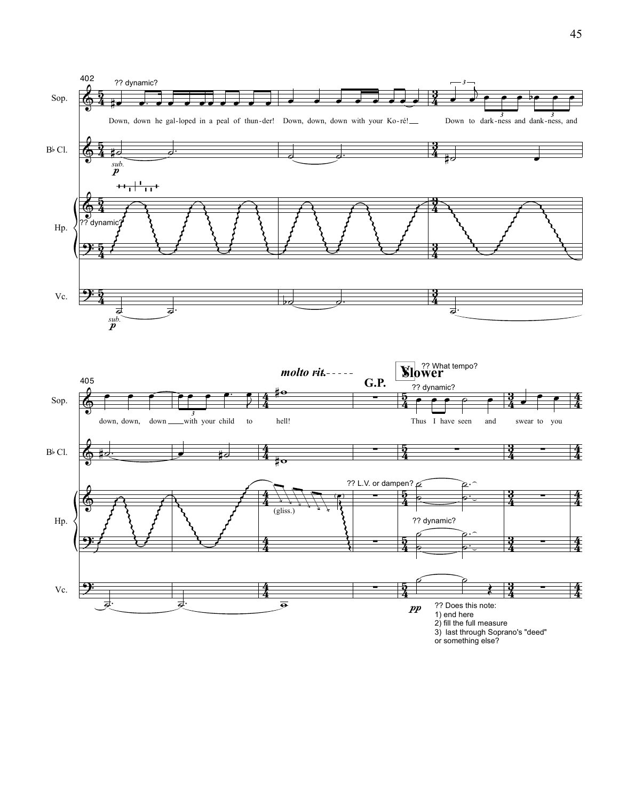



or something else?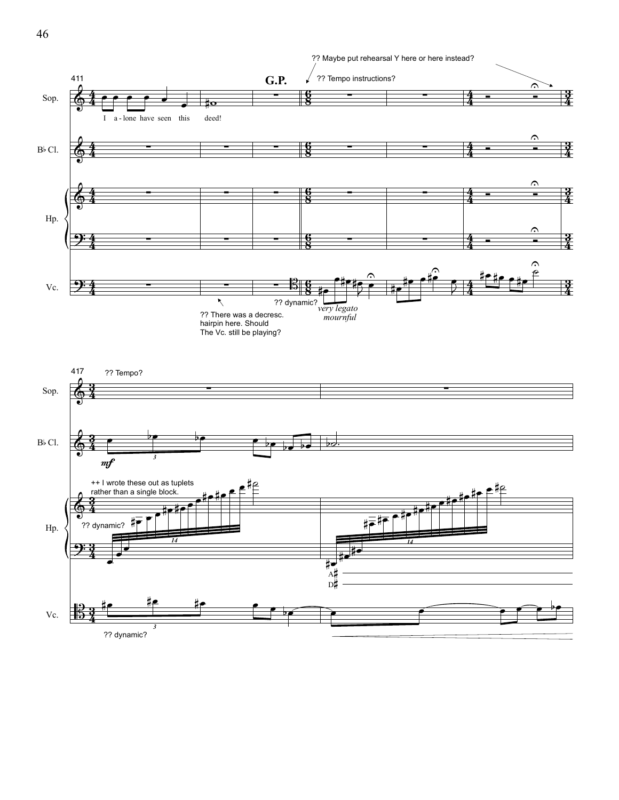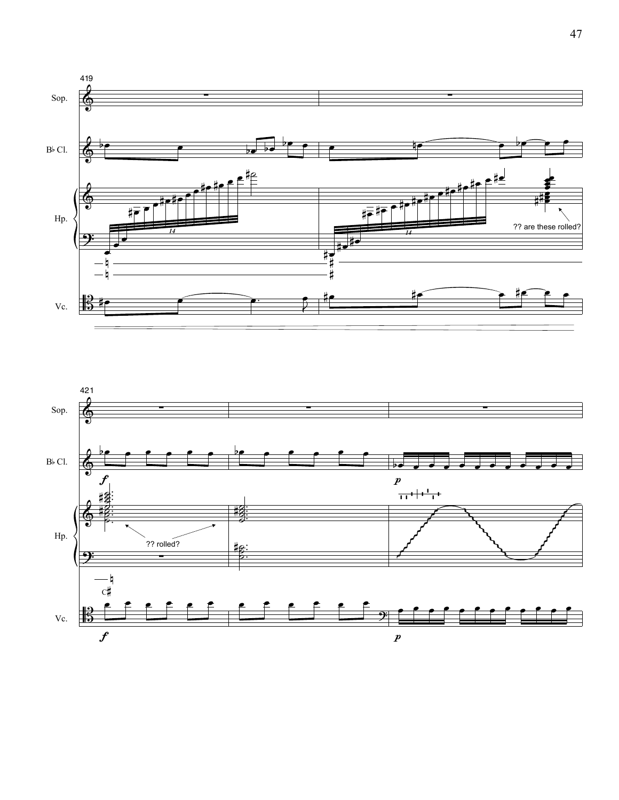

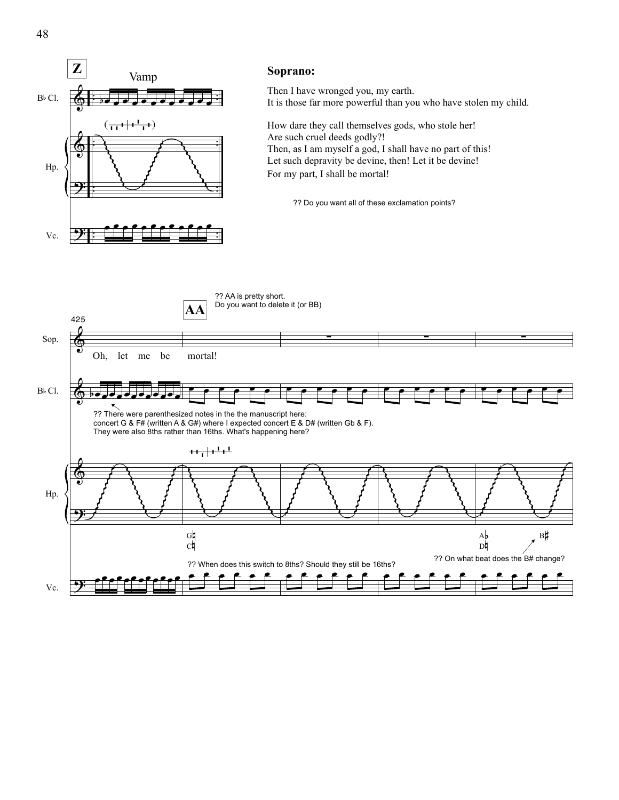

Vc.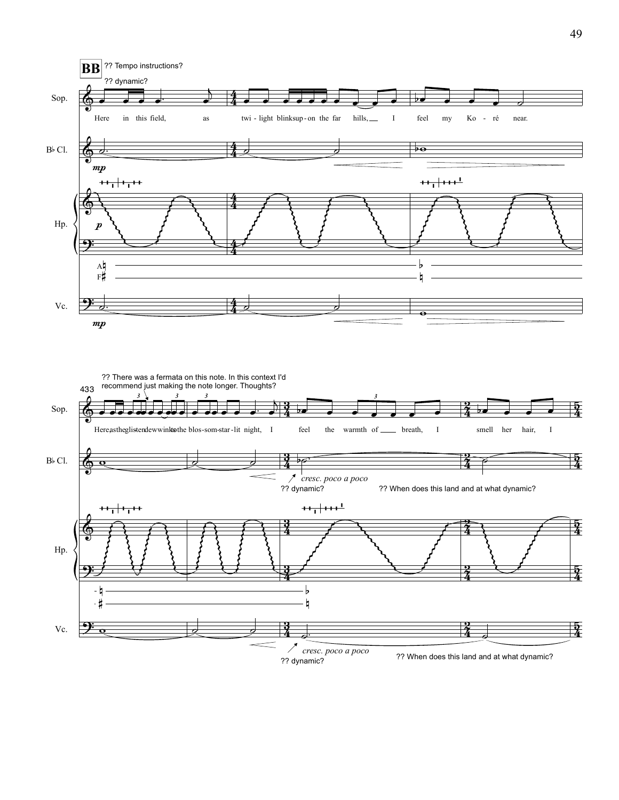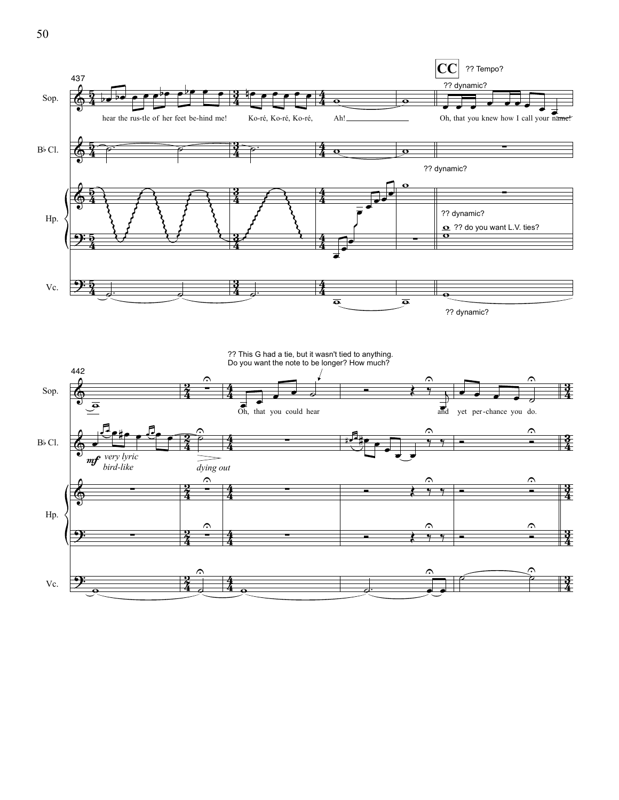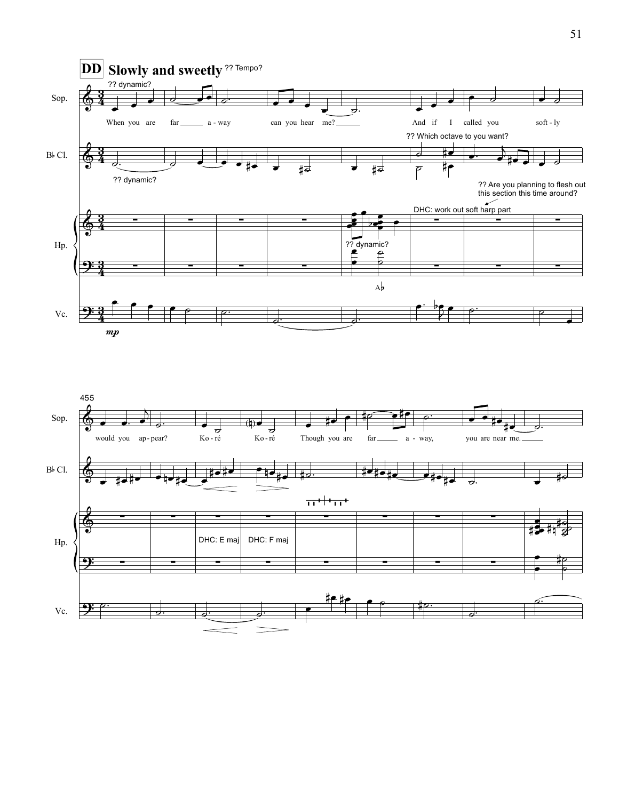

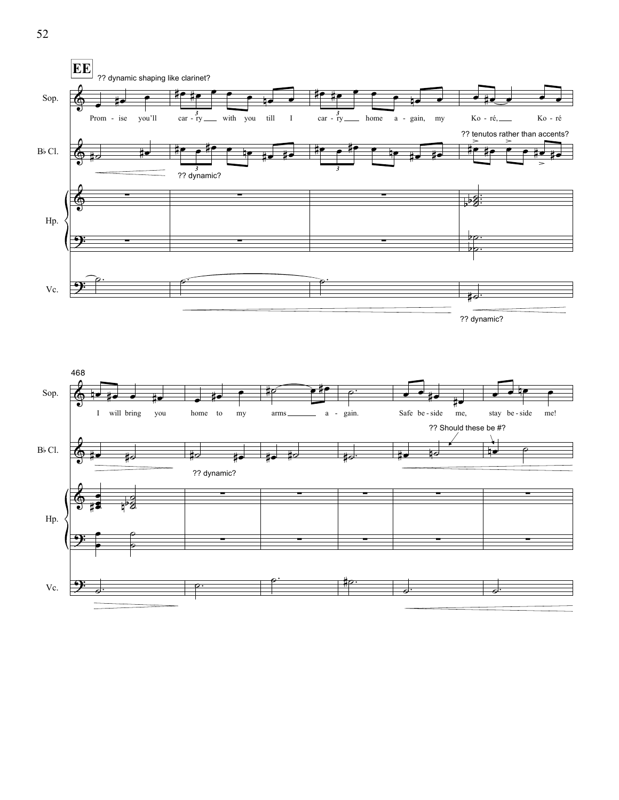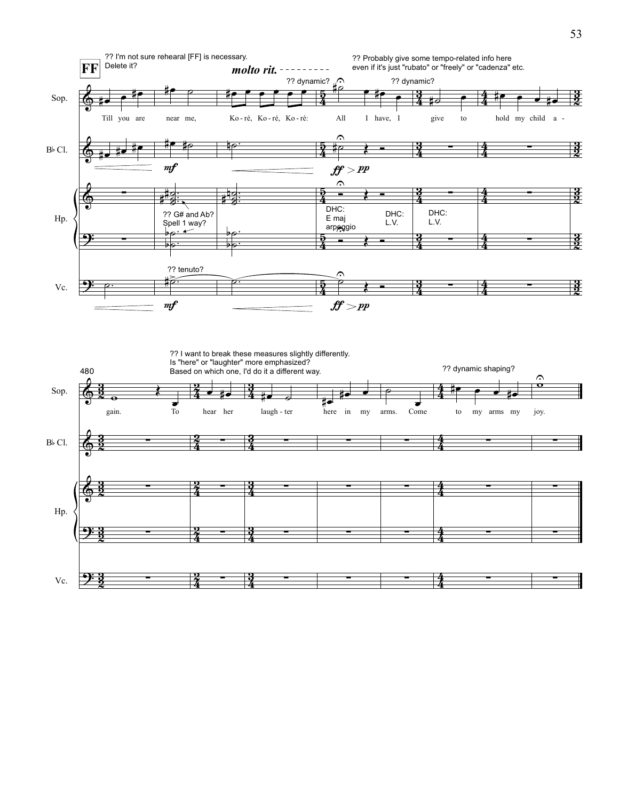

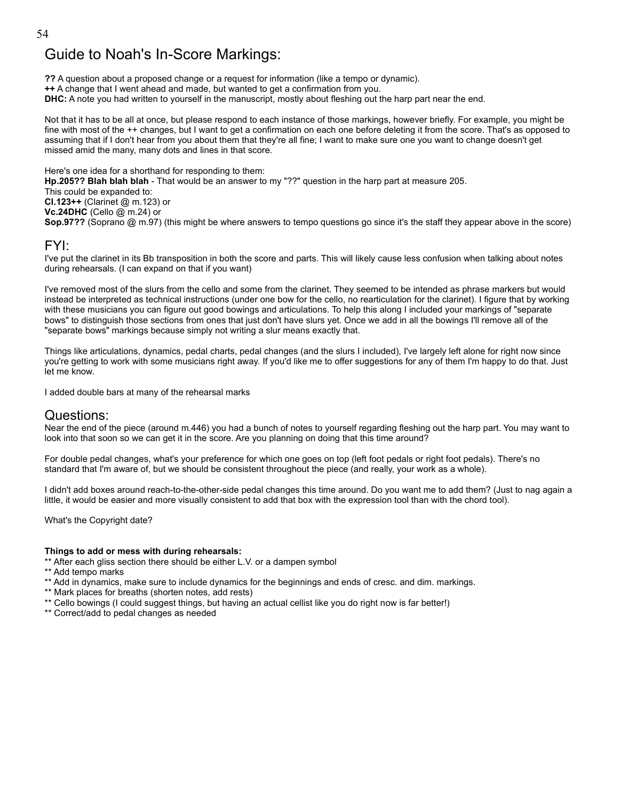## Guide to Noah's In-Score Markings:

**??** A question about a proposed change or a request for information (like a tempo or dynamic).

**++** A change that I went ahead and made, but wanted to get a confirmation from you.

**DHC:** A note you had written to yourself in the manuscript, mostly about fleshing out the harp part near the end.

Not that it has to be all at once, but please respond to each instance of those markings, however briefly. For example, you might be fine with most of the ++ changes, but I want to get a confirmation on each one before deleting it from the score. That's as opposed to assuming that if I don't hear from you about them that they're all fine; I want to make sure one you want to change doesn't get missed amid the many, many dots and lines in that score.

Here's one idea for a shorthand for responding to them: **Hp.205?? Blah blah blah** - That would be an answer to my "??" question in the harp part at measure 205. This could be expanded to: **Cl.123++** (Clarinet @ m.123) or **Vc.24DHC** (Cello @ m.24) or **Sop.97??** (Soprano @ m.97) (this might be where answers to tempo questions go since it's the staff they appear above in the score)

### FYI:

I've put the clarinet in its Bb transposition in both the score and parts. This will likely cause less confusion when talking about notes during rehearsals. (I can expand on that if you want)

I've removed most of the slurs from the cello and some from the clarinet. They seemed to be intended as phrase markers but would instead be interpreted as technical instructions (under one bow for the cello, no rearticulation for the clarinet). I figure that by working with these musicians you can figure out good bowings and articulations. To help this along I included your markings of "separate bows" to distinguish those sections from ones that just don't have slurs yet. Once we add in all the bowings I'll remove all of the "separate bows" markings because simply not writing a slur means exactly that.

Things like articulations, dynamics, pedal charts, pedal changes (and the slurs I included), I've largely left alone for right now since you're getting to work with some musicians right away. If you'd like me to offer suggestions for any of them I'm happy to do that. Just let me know.

I added double bars at many of the rehearsal marks

#### Questions:

Near the end of the piece (around m.446) you had a bunch of notes to yourself regarding fleshing out the harp part. You may want to look into that soon so we can get it in the score. Are you planning on doing that this time around?

For double pedal changes, what's your preference for which one goes on top (left foot pedals or right foot pedals). There's no standard that I'm aware of, but we should be consistent throughout the piece (and really, your work as a whole).

I didn't add boxes around reach-to-the-other-side pedal changes this time around. Do you want me to add them? (Just to nag again a little, it would be easier and more visually consistent to add that box with the expression tool than with the chord tool).

What's the Copyright date?

#### **Things to add or mess with during rehearsals:**

\*\* After each gliss section there should be either L.V. or a dampen symbol

\*\* Add tempo marks

\*\* Add in dynamics, make sure to include dynamics for the beginnings and ends of cresc. and dim. markings.

- \*\* Mark places for breaths (shorten notes, add rests)
- \*\* Cello bowings (I could suggest things, but having an actual cellist like you do right now is far better!)
- \*\* Correct/add to pedal changes as needed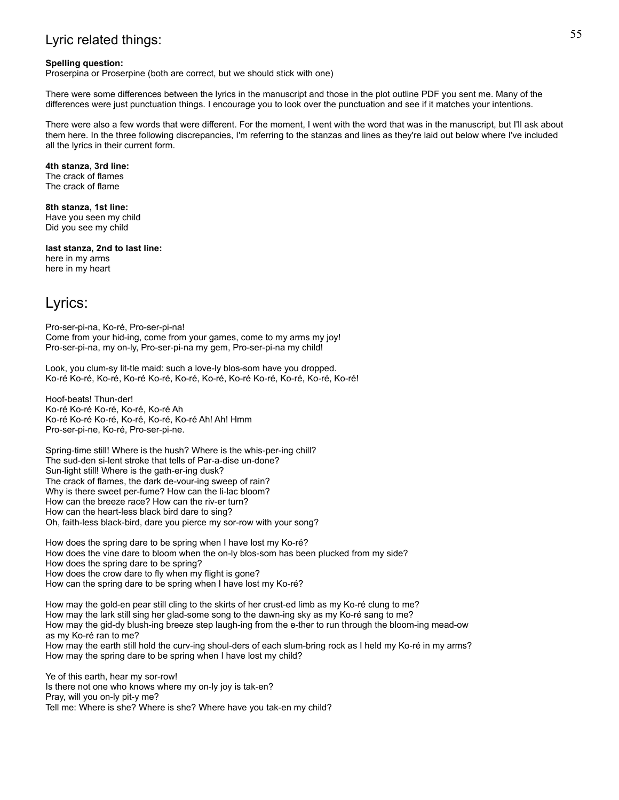# Lyric related things:  $55$

#### **Spelling question:**

Proserpina or Proserpine (both are correct, but we should stick with one)

There were some differences between the lyrics in the manuscript and those in the plot outline PDF you sent me. Many of the differences were just punctuation things. I encourage you to look over the punctuation and see if it matches your intentions.

There were also a few words that were different. For the moment, I went with the word that was in the manuscript, but I'll ask about them here. In the three following discrepancies, I'm referring to the stanzas and lines as they're laid out below where I've included all the lyrics in their current form.

**4th stanza, 3rd line:** The crack of flames The crack of flame

**8th stanza, 1st line:** Have you seen my child Did you see my child

**last stanza, 2nd to last line:** here in my arms here in my heart

### Lyrics:

Pro-ser-pi-na, Ko-ré, Pro-ser-pi-na! Come from your hid-ing, come from your games, come to my arms my joy! Pro-ser-pi-na, my on-ly, Pro-ser-pi-na my gem, Pro-ser-pi-na my child!

Look, you clum-sy lit-tle maid: such a love-ly blos-som have you dropped. Ko-ré Ko-ré, Ko-ré, Ko-ré Ko-ré, Ko-ré, Ko-ré, Ko-ré Ko-ré, Ko-ré, Ko-ré, Ko-ré!

Hoof-beats! Thun-der! Ko-ré Ko-ré Ko-ré, Ko-ré, Ko-ré Ah Ko-ré Ko-ré Ko-ré, Ko-ré, Ko-ré, Ko-ré Ah! Ah! Hmm Pro-ser-pi-ne, Ko-ré, Pro-ser-pi-ne.

Spring-time still! Where is the hush? Where is the whis-per-ing chill? The sud-den si-lent stroke that tells of Par-a-dise un-done? Sun-light still! Where is the gath-er-ing dusk? The crack of flames, the dark de-vour-ing sweep of rain? Why is there sweet per-fume? How can the li-lac bloom? How can the breeze race? How can the riv-er turn? How can the heart-less black bird dare to sing? Oh, faith-less black-bird, dare you pierce my sor-row with your song?

How does the spring dare to be spring when I have lost my Ko-ré? How does the vine dare to bloom when the on-ly blos-som has been plucked from my side? How does the spring dare to be spring? How does the crow dare to fly when my flight is gone? How can the spring dare to be spring when I have lost my Ko-ré?

How may the gold-en pear still cling to the skirts of her crust-ed limb as my Ko-ré clung to me? How may the lark still sing her glad-some song to the dawn-ing sky as my Ko-ré sang to me? How may the gid-dy blush-ing breeze step laugh-ing from the e-ther to run through the bloom-ing mead-ow as my Ko-ré ran to me? How may the earth still hold the curv-ing shoul-ders of each slum-bring rock as I held my Ko-ré in my arms? How may the spring dare to be spring when I have lost my child?

Ye of this earth, hear my sor-row! Is there not one who knows where my on-ly joy is tak-en? Pray, will you on-ly pit-y me? Tell me: Where is she? Where is she? Where have you tak-en my child?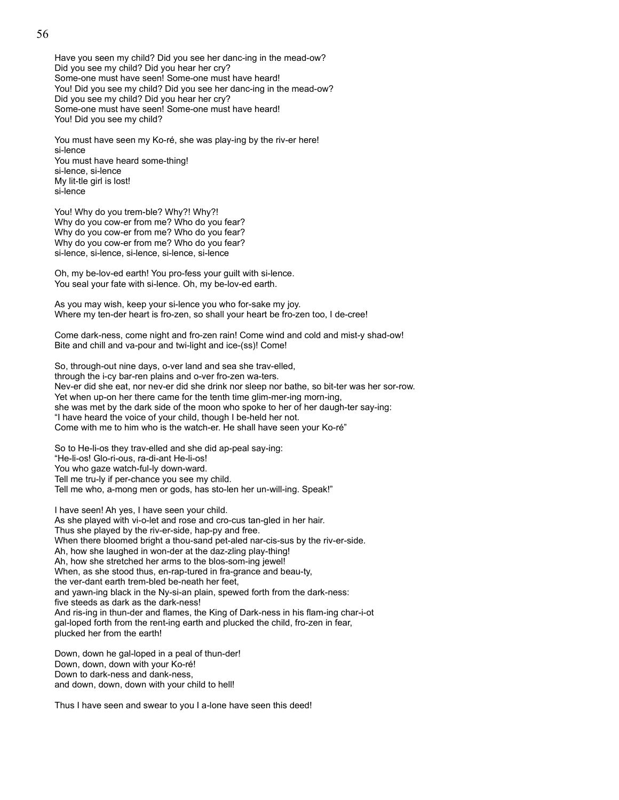Have you seen my child? Did you see her danc-ing in the mead-ow? Did you see my child? Did you hear her cry? Some-one must have seen! Some-one must have heard! You! Did you see my child? Did you see her danc-ing in the mead-ow? Did you see my child? Did you hear her cry? Some-one must have seen! Some-one must have heard! You! Did you see my child?

You must have seen my Ko-ré, she was play-ing by the riv-er here! si-lence You must have heard some-thing! si-lence, si-lence My lit-tle girl is lost! si-lence

You! Why do you trem-ble? Why?! Why?! Why do you cow-er from me? Who do you fear? Why do you cow-er from me? Who do you fear? Why do you cow-er from me? Who do you fear? si-lence, si-lence, si-lence, si-lence, si-lence

Oh, my be-lov-ed earth! You pro-fess your guilt with si-lence. You seal your fate with si-lence. Oh, my be-lov-ed earth.

As you may wish, keep your si-lence you who for-sake my joy. Where my ten-der heart is fro-zen, so shall your heart be fro-zen too, I de-cree!

Come dark-ness, come night and fro-zen rain! Come wind and cold and mist-y shad-ow! Bite and chill and va-pour and twi-light and ice-(ss)! Come!

So, through-out nine days, o-ver land and sea she trav-elled, through the i-cy bar-ren plains and o-ver fro-zen wa-ters. Nev-er did she eat, nor nev-er did she drink nor sleep nor bathe, so bit-ter was her sor-row. Yet when up-on her there came for the tenth time glim-mer-ing morn-ing, she was met by the dark side of the moon who spoke to her of her daugh-ter say-ing: "I have heard the voice of your child, though I be-held her not. Come with me to him who is the watch-er. He shall have seen your Ko-ré"

So to He-li-os they trav-elled and she did ap-peal say-ing: "He-li-os! Glo-ri-ous, ra-di-ant He-li-os! You who gaze watch-ful-ly down-ward. Tell me tru-ly if per-chance you see my child. Tell me who, a-mong men or gods, has sto-len her un-will-ing. Speak!"

I have seen! Ah yes, I have seen your child. As she played with vi-o-let and rose and cro-cus tan-gled in her hair. Thus she played by the riv-er-side, hap-py and free. When there bloomed bright a thou-sand pet-aled nar-cis-sus by the riv-er-side. Ah, how she laughed in won-der at the daz-zling play-thing! Ah, how she stretched her arms to the blos-som-ing jewel! When, as she stood thus, en-rap-tured in fra-grance and beau-ty, the ver-dant earth trem-bled be-neath her feet, and yawn-ing black in the Ny-si-an plain, spewed forth from the dark-ness: five steeds as dark as the dark-ness! And ris-ing in thun-der and flames, the King of Dark-ness in his flam-ing char-i-ot gal-loped forth from the rent-ing earth and plucked the child, fro-zen in fear, plucked her from the earth!

Down, down he gal-loped in a peal of thun-der! Down, down, down with your Ko-ré! Down to dark-ness and dank-ness, and down, down, down with your child to hell!

Thus I have seen and swear to you I a-lone have seen this deed!